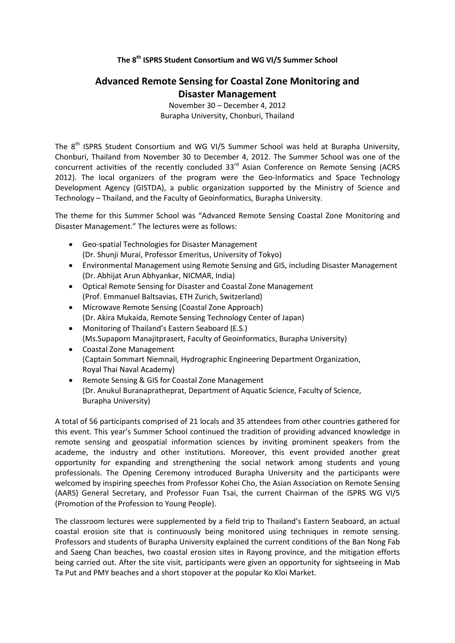## **The 8th ISPRS Student Consortium and WG VI/5 Summer School**

## **Advanced Remote Sensing for Coastal Zone Monitoring and Disaster Management**

November 30 – December 4, 2012 Burapha University, Chonburi, Thailand

The  $8<sup>th</sup>$  ISPRS Student Consortium and WG VI/5 Summer School was held at Burapha University, Chonburi, Thailand from November 30 to December 4, 2012. The Summer School was one of the concurrent activities of the recently concluded 33<sup>rd</sup> Asian Conference on Remote Sensing (ACRS 2012). The local organizers of the program were the Geo-Informatics and Space Technology Development Agency (GISTDA), a public organization supported by the Ministry of Science and Technology – Thailand, and the Faculty of Geoinformatics, Burapha University.

The theme for this Summer School was "Advanced Remote Sensing Coastal Zone Monitoring and Disaster Management." The lectures were as follows:

- Geo-spatial Technologies for Disaster Management (Dr. Shunji Murai, Professor Emeritus, University of Tokyo)
- Environmental Management using Remote Sensing and GIS, including Disaster Management (Dr. Abhijat Arun Abhyankar, NICMAR, India)
- Optical Remote Sensing for Disaster and Coastal Zone Management (Prof. Emmanuel Baltsavias, ETH Zurich, Switzerland)
- Microwave Remote Sensing (Coastal Zone Approach) (Dr. Akira Mukaida, Remote Sensing Technology Center of Japan)
- Monitoring of Thailand's Eastern Seaboard (E.S.) (Ms.Supaporn Manajitprasert, Faculty of Geoinformatics, Burapha University)
- Coastal Zone Management (Captain Sommart Niemnail, Hydrographic Engineering Department Organization, Royal Thai Naval Academy)
- Remote Sensing & GIS for Coastal Zone Management (Dr. Anukul Buranapratheprat, Department of Aquatic Science, Faculty of Science, Burapha University)

A total of 56 participants comprised of 21 locals and 35 attendees from other countries gathered for this event. This year's Summer School continued the tradition of providing advanced knowledge in remote sensing and geospatial information sciences by inviting prominent speakers from the academe, the industry and other institutions. Moreover, this event provided another great opportunity for expanding and strengthening the social network among students and young professionals. The Opening Ceremony introduced Burapha University and the participants were welcomed by inspiring speeches from Professor Kohei Cho, the Asian Association on Remote Sensing (AARS) General Secretary, and Professor Fuan Tsai, the current Chairman of the ISPRS WG VI/5 (Promotion of the Profession to Young People).

The classroom lectures were supplemented by a field trip to Thailand's Eastern Seaboard, an actual coastal erosion site that is continuously being monitored using techniques in remote sensing. Professors and students of Burapha University explained the current conditions of the Ban Nong Fab and Saeng Chan beaches, two coastal erosion sites in Rayong province, and the mitigation efforts being carried out. After the site visit, participants were given an opportunity for sightseeing in Mab Ta Put and PMY beaches and a short stopover at the popular Ko Kloi Market.